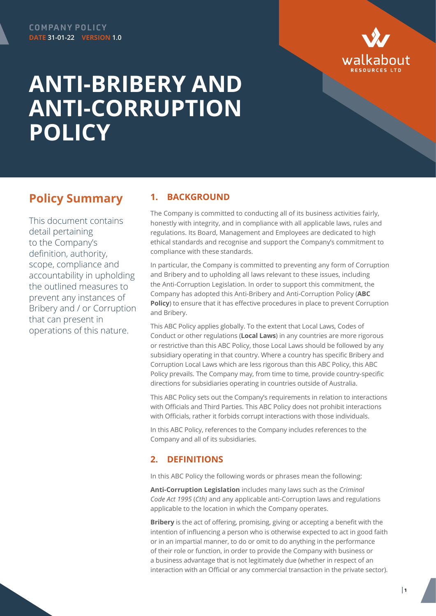

# **ANTI-BRIBERY AND ANTI-CORRUPTION POLICY**

# **Policy Summary**

This document contains detail pertaining to the Company's definition, authority, scope, compliance and accountability in upholding the outlined measures to prevent any instances of Bribery and / or Corruption that can present in operations of this nature.

### **1. BACKGROUND**

The Company is committed to conducting all of its business activities fairly, honestly with integrity, and in compliance with all applicable laws, rules and regulations. Its Board, Management and Employees are dedicated to high ethical standards and recognise and support the Company's commitment to compliance with these standards.

In particular, the Company is committed to preventing any form of Corruption and Bribery and to upholding all laws relevant to these issues, including the Anti-Corruption Legislation. In order to support this commitment, the Company has adopted this Anti-Bribery and Anti-Corruption Policy (**ABC Policy**) to ensure that it has effective procedures in place to prevent Corruption and Bribery.

This ABC Policy applies globally. To the extent that Local Laws, Codes of Conduct or other regulations (**Local Laws**) in any countries are more rigorous or restrictive than this ABC Policy, those Local Laws should be followed by any subsidiary operating in that country. Where a country has specific Bribery and Corruption Local Laws which are less rigorous than this ABC Policy, this ABC Policy prevails. The Company may, from time to time, provide country-specific directions for subsidiaries operating in countries outside of Australia.

This ABC Policy sets out the Company's requirements in relation to interactions with Officials and Third Parties. This ABC Policy does not prohibit interactions with Officials, rather it forbids corrupt interactions with those individuals.

In this ABC Policy, references to the Company includes references to the Company and all of its subsidiaries.

# **2. DEFINITIONS**

In this ABC Policy the following words or phrases mean the following:

**Anti-Corruption Legislation** includes many laws such as the *Criminal Code Act 1995* (*Cth)* and any applicable anti-Corruption laws and regulations applicable to the location in which the Company operates.

**Bribery** is the act of offering, promising, giving or accepting a benefit with the intention of influencing a person who is otherwise expected to act in good faith or in an impartial manner, to do or omit to do anything in the performance of their role or function, in order to provide the Company with business or a business advantage that is not legitimately due (whether in respect of an interaction with an Official or any commercial transaction in the private sector).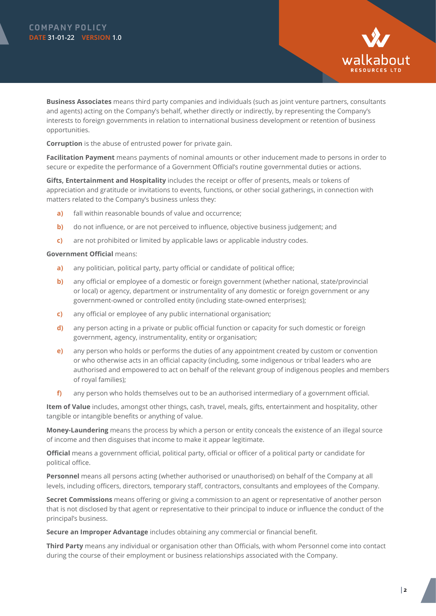

**Business Associates** means third party companies and individuals (such as joint venture partners, consultants and agents) acting on the Company's behalf, whether directly or indirectly, by representing the Company's interests to foreign governments in relation to international business development or retention of business opportunities.

**Corruption** is the abuse of entrusted power for private gain.

**Facilitation Payment** means payments of nominal amounts or other inducement made to persons in order to secure or expedite the performance of a Government Official's routine governmental duties or actions.

**Gifts, Entertainment and Hospitality** includes the receipt or offer of presents, meals or tokens of appreciation and gratitude or invitations to events, functions, or other social gatherings, in connection with matters related to the Company's business unless they:

- **a)** fall within reasonable bounds of value and occurrence;
- **b)** do not influence, or are not perceived to influence, objective business judgement; and
- **c)** are not prohibited or limited by applicable laws or applicable industry codes.

#### **Government Official** means:

- **a)** any politician, political party, party official or candidate of political office;
- **b)** any official or employee of a domestic or foreign government (whether national, state/provincial or local) or agency, department or instrumentality of any domestic or foreign government or any government-owned or controlled entity (including state-owned enterprises);
- **c)** any official or employee of any public international organisation;
- **d)** any person acting in a private or public official function or capacity for such domestic or foreign government, agency, instrumentality, entity or organisation;
- **e)** any person who holds or performs the duties of any appointment created by custom or convention or who otherwise acts in an official capacity (including, some indigenous or tribal leaders who are authorised and empowered to act on behalf of the relevant group of indigenous peoples and members of royal families);
- **f)** any person who holds themselves out to be an authorised intermediary of a government official.

**Item of Value** includes, amongst other things, cash, travel, meals, gifts, entertainment and hospitality, other tangible or intangible benefits or anything of value.

**Money-Laundering** means the process by which a person or entity conceals the existence of an illegal source of income and then disguises that income to make it appear legitimate.

**Official** means a government official, political party, official or officer of a political party or candidate for political office.

**Personnel** means all persons acting (whether authorised or unauthorised) on behalf of the Company at all levels, including officers, directors, temporary staff, contractors, consultants and employees of the Company.

**Secret Commissions** means offering or giving a commission to an agent or representative of another person that is not disclosed by that agent or representative to their principal to induce or influence the conduct of the principal's business.

**Secure an Improper Advantage** includes obtaining any commercial or financial benefit.

**Third Party** means any individual or organisation other than Officials, with whom Personnel come into contact during the course of their employment or business relationships associated with the Company.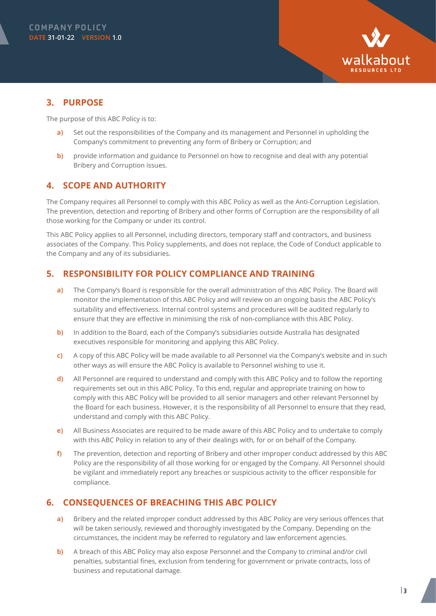

# **3. PURPOSE**

The purpose of this ABC Policy is to:

- **a)** Set out the responsibilities of the Company and its management and Personnel in upholding the Company's commitment to preventing any form of Bribery or Corruption; and
- **b)** provide information and guidance to Personnel on how to recognise and deal with any potential Bribery and Corruption issues.

# **4. SCOPE AND AUTHORITY**

The Company requires all Personnel to comply with this ABC Policy as well as the Anti-Corruption Legislation. The prevention, detection and reporting of Bribery and other forms of Corruption are the responsibility of all those working for the Company or under its control.

This ABC Policy applies to all Personnel, including directors, temporary staff and contractors, and business associates of the Company. This Policy supplements, and does not replace, the Code of Conduct applicable to the Company and any of its subsidiaries.

# **5. RESPONSIBILITY FOR POLICY COMPLIANCE AND TRAINING**

- **a)** The Company's Board is responsible for the overall administration of this ABC Policy. The Board will monitor the implementation of this ABC Policy and will review on an ongoing basis the ABC Policy's suitability and effectiveness. Internal control systems and procedures will be audited regularly to ensure that they are effective in minimising the risk of non-compliance with this ABC Policy.
- **b)** In addition to the Board, each of the Company's subsidiaries outside Australia has designated executives responsible for monitoring and applying this ABC Policy.
- **c)** A copy of this ABC Policy will be made available to all Personnel via the Company's website and in such other ways as will ensure the ABC Policy is available to Personnel wishing to use it.
- **d)** All Personnel are required to understand and comply with this ABC Policy and to follow the reporting requirements set out in this ABC Policy. To this end, regular and appropriate training on how to comply with this ABC Policy will be provided to all senior managers and other relevant Personnel by the Board for each business. However, it is the responsibility of all Personnel to ensure that they read, understand and comply with this ABC Policy.
- **e)** All Business Associates are required to be made aware of this ABC Policy and to undertake to comply with this ABC Policy in relation to any of their dealings with, for or on behalf of the Company.
- **f)** The prevention, detection and reporting of Bribery and other improper conduct addressed by this ABC Policy are the responsibility of all those working for or engaged by the Company. All Personnel should be vigilant and immediately report any breaches or suspicious activity to the officer responsible for compliance.

# **6. CONSEQUENCES OF BREACHING THIS ABC POLICY**

- **a)** Bribery and the related improper conduct addressed by this ABC Policy are very serious offences that will be taken seriously, reviewed and thoroughly investigated by the Company. Depending on the circumstances, the incident may be referred to regulatory and law enforcement agencies.
- **b)** A breach of this ABC Policy may also expose Personnel and the Company to criminal and/or civil penalties, substantial fines, exclusion from tendering for government or private contracts, loss of business and reputational damage.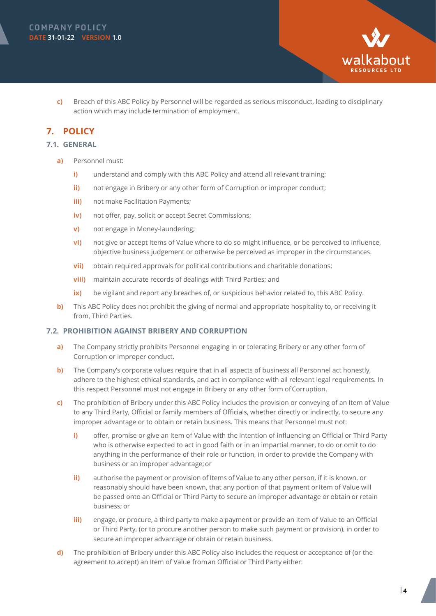

**c)** Breach of this ABC Policy by Personnel will be regarded as serious misconduct, leading to disciplinary action which may include termination of employment.

## **7. POLICY**

#### **7.1. GENERAL**

- **a)** Personnel must:
	- **i)** understand and comply with this ABC Policy and attend all relevant training;
	- **ii)** not engage in Bribery or any other form of Corruption or improper conduct;
	- **iii)** not make Facilitation Payments;
	- **iv)** not offer, pay, solicit or accept Secret Commissions;
	- **v)** not engage in Money-laundering;
	- **vi)** not give or accept Items of Value where to do so might influence, or be perceived to influence, objective business judgement or otherwise be perceived as improper in the circumstances.
	- **vii)** obtain required approvals for political contributions and charitable donations;
	- **viii)** maintain accurate records of dealings with Third Parties; and
	- **ix)** be vigilant and report any breaches of, or suspicious behavior related to, this ABC Policy.
- **b)** This ABC Policy does not prohibit the giving of normal and appropriate hospitality to, or receiving it from, Third Parties.

#### **7.2. PROHIBITION AGAINST BRIBERY AND CORRUPTION**

- **a)** The Company strictly prohibits Personnel engaging in or tolerating Bribery or any other form of Corruption or improper conduct.
- **b)** The Company's corporate values require that in all aspects of business all Personnel act honestly, adhere to the highest ethical standards, and act in compliance with all relevant legal requirements. In this respect Personnel must not engage in Bribery or any other form of Corruption.
- **c)** The prohibition of Bribery under this ABC Policy includes the provision or conveying of an Item of Value to any Third Party, Official or family members of Officials, whether directly or indirectly, to secure any improper advantage or to obtain or retain business. This means that Personnel must not:
	- **i)** offer, promise or give an Item of Value with the intention of influencing an Official or Third Party who is otherwise expected to act in good faith or in an impartial manner, to do or omit to do anything in the performance of their role or function, in order to provide the Company with business or an improper advantage; or
	- **ii)** authorise the payment or provision of Items of Value to any other person, if it is known, or reasonably should have been known, that any portion of that payment or Item of Value will be passed onto an Official or Third Party to secure an improper advantage or obtain or retain business; or
	- **iii)** engage, or procure, a third party to make a payment or provide an Item of Value to an Official or Third Party, (or to procure another person to make such payment or provision), in order to secure an improper advantage or obtain or retain business.
- **d)** The prohibition of Bribery under this ABC Policy also includes the request or acceptance of (or the agreement to accept) an Item of Value from an Official or Third Party either: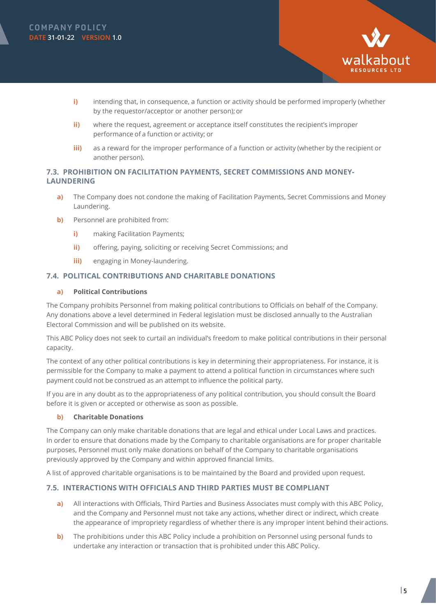



- **i)** intending that, in consequence, a function or activity should be performed improperly (whether by the requestor/acceptor or another person); or
- **ii)** where the request, agreement or acceptance itself constitutes the recipient's improper performance of a function or activity; or
- **iii)** as a reward for the improper performance of a function or activity (whether by the recipient or another person).

#### **7.3. PROHIBITION ON FACILITATION PAYMENTS, SECRET COMMISSIONS AND MONEY-LAUNDERING**

- **a)** The Company does not condone the making of Facilitation Payments, Secret Commissions and Money Laundering.
- **b)** Personnel are prohibited from:
	- **i)** making Facilitation Payments;
	- **ii)** offering, paying, soliciting or receiving Secret Commissions; and
	- **iii)** engaging in Money-laundering.

#### **7.4. POLITICAL CONTRIBUTIONS AND CHARITABLE DONATIONS**

#### **a) Political Contributions**

The Company prohibits Personnel from making political contributions to Officials on behalf of the Company. Any donations above a level determined in Federal legislation must be disclosed annually to the Australian Electoral Commission and will be published on its website.

This ABC Policy does not seek to curtail an individual's freedom to make political contributions in their personal capacity.

The context of any other political contributions is key in determining their appropriateness. For instance, it is permissible for the Company to make a payment to attend a political function in circumstances where such payment could not be construed as an attempt to influence the political party.

If you are in any doubt as to the appropriateness of any political contribution, you should consult the Board before it is given or accepted or otherwise as soon as possible.

#### **b) Charitable Donations**

The Company can only make charitable donations that are legal and ethical under Local Laws and practices. In order to ensure that donations made by the Company to charitable organisations are for proper charitable purposes, Personnel must only make donations on behalf of the Company to charitable organisations previously approved by the Company and within approved financial limits.

A list of approved charitable organisations is to be maintained by the Board and provided upon request.

#### **7.5. INTERACTIONS WITH OFFICIALS AND THIRD PARTIES MUST BE COMPLIANT**

- **a)** All interactions with Officials, Third Parties and Business Associates must comply with this ABC Policy, and the Company and Personnel must not take any actions, whether direct or indirect, which create the appearance of impropriety regardless of whether there is any improper intent behind their actions.
- **b)** The prohibitions under this ABC Policy include a prohibition on Personnel using personal funds to undertake any interaction or transaction that is prohibited under this ABC Policy.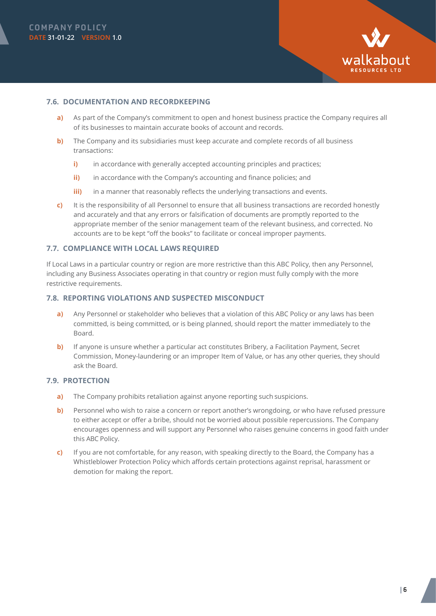

#### **7.6. DOCUMENTATION AND RECORDKEEPING**

- **a)** As part of the Company's commitment to open and honest business practice the Company requires all of its businesses to maintain accurate books of account and records.
- **b)** The Company and its subsidiaries must keep accurate and complete records of all business transactions:
	- **i)** in accordance with generally accepted accounting principles and practices;
	- **ii)** in accordance with the Company's accounting and finance policies; and
	- **iii)** in a manner that reasonably reflects the underlying transactions and events.
- **c)** It is the responsibility of all Personnel to ensure that all business transactions are recorded honestly and accurately and that any errors or falsification of documents are promptly reported to the appropriate member of the senior management team of the relevant business, and corrected. No accounts are to be kept "off the books" to facilitate or conceal improper payments.

#### **7.7. COMPLIANCE WITH LOCAL LAWS REQUIRED**

If Local Laws in a particular country or region are more restrictive than this ABC Policy, then any Personnel, including any Business Associates operating in that country or region must fully comply with the more restrictive requirements.

#### **7.8. REPORTING VIOLATIONS AND SUSPECTED MISCONDUCT**

- **a)** Any Personnel or stakeholder who believes that a violation of this ABC Policy or any laws has been committed, is being committed, or is being planned, should report the matter immediately to the Board.
- **b)** If anyone is unsure whether a particular act constitutes Bribery, a Facilitation Payment, Secret Commission, Money-laundering or an improper Item of Value, or has any other queries, they should ask the Board.

#### **7.9. PROTECTION**

- **a)** The Company prohibits retaliation against anyone reporting such suspicions.
- **b)** Personnel who wish to raise a concern or report another's wrongdoing, or who have refused pressure to either accept or offer a bribe, should not be worried about possible repercussions. The Company encourages openness and will support any Personnel who raises genuine concerns in good faith under this ABC Policy.
- **c)** If you are not comfortable, for any reason, with speaking directly to the Board, the Company has a Whistleblower Protection Policy which affords certain protections against reprisal, harassment or demotion for making the report.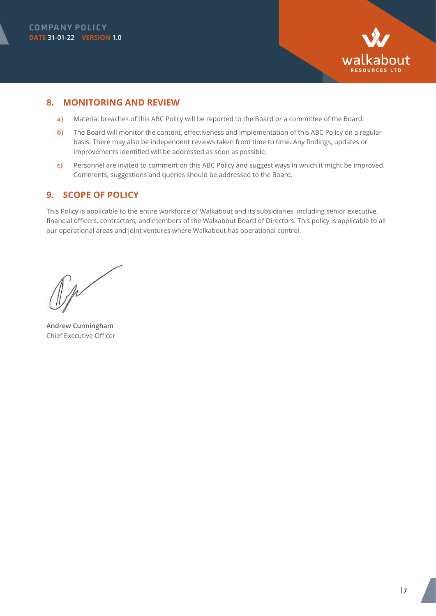



### **8. MONITORING AND REVIEW**

- **a)** Material breaches of this ABC Policy will be reported to the Board or a committee of the Board.
- **b)** The Board will monitor the content, effectiveness and implementation of this ABC Policy on a regular basis. There may also be independent reviews taken from time to time. Any findings, updates or improvements identified will be addressed as soon as possible.
- **c)** Personnel are invited to comment on this ABC Policy and suggest ways in which it might be improved. Comments, suggestions and queries should be addressed to the Board.

# **9. SCOPE OF POLICY**

This Policy is applicable to the entire workforce of Walkabout and its subsidiaries, including senior executive, financial officers, contractors, and members of the Walkabout Board of Directors. This policy is applicable to all our operational areas and joint ventures where Walkabout has operational control.

**Andrew Cunningham** Chief Executive Officer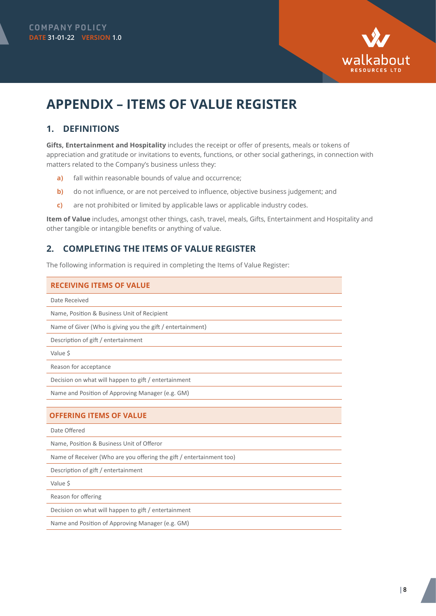

# **APPENDIX – ITEMS OF VALUE REGISTER**

# **1. DEFINITIONS**

**Gifts, Entertainment and Hospitality** includes the receipt or offer of presents, meals or tokens of appreciation and gratitude or invitations to events, functions, or other social gatherings, in connection with matters related to the Company's business unless they:

- **a)** fall within reasonable bounds of value and occurrence;
- **b)** do not influence, or are not perceived to influence, objective business judgement; and
- **c)** are not prohibited or limited by applicable laws or applicable industry codes.

**Item of Value** includes, amongst other things, cash, travel, meals, Gifts, Entertainment and Hospitality and other tangible or intangible benefits or anything of value.

# **2. COMPLETING THE ITEMS OF VALUE REGISTER**

The following information is required in completing the Items of Value Register:

#### **RECEIVING ITEMS OF VALUE**

Date Received

Name, Position & Business Unit of Recipient

Name of Giver (Who is giving you the gift / entertainment)

Description of gift / entertainment

Value \$

Reason for acceptance

Decision on what will happen to gift / entertainment

Name and Position of Approving Manager (e.g. GM)

#### **OFFERING ITEMS OF VALUE**

Date Offered

Name, Position & Business Unit of Offeror

Name of Receiver (Who are you offering the gift / entertainment too)

Description of gift / entertainment

Value \$

Reason for offering

Decision on what will happen to gift / entertainment

Name and Position of Approving Manager (e.g. GM)